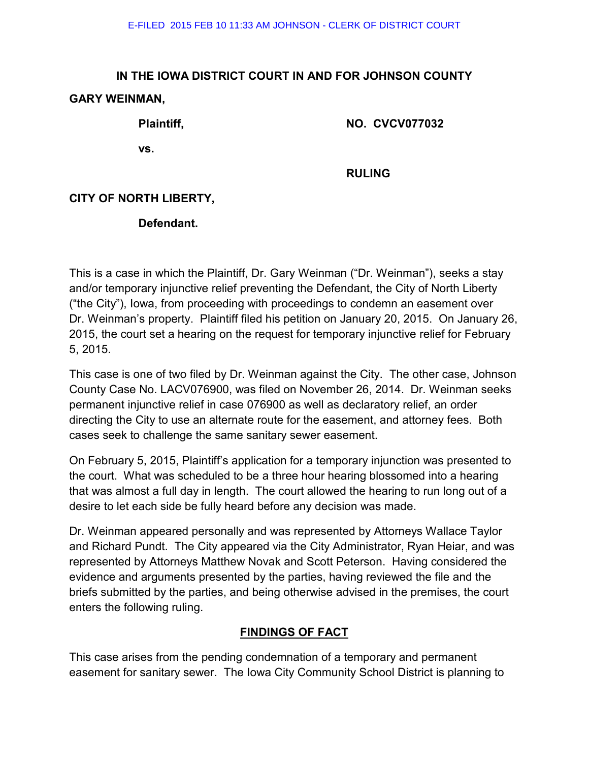# **IN THE IOWA DISTRICT COURT IN AND FOR JOHNSON COUNTY GARY WEINMAN,**

**Plaintiff, NO. CVCV077032** 

**vs.** 

 **RULING** 

## **CITY OF NORTH LIBERTY,**

#### **Defendant.**

This is a case in which the Plaintiff, Dr. Gary Weinman ("Dr. Weinman"), seeks a stay and/or temporary injunctive relief preventing the Defendant, the City of North Liberty ("the City"), Iowa, from proceeding with proceedings to condemn an easement over Dr. Weinman's property. Plaintiff filed his petition on January 20, 2015. On January 26, 2015, the court set a hearing on the request for temporary injunctive relief for February 5, 2015.

This case is one of two filed by Dr. Weinman against the City. The other case, Johnson County Case No. LACV076900, was filed on November 26, 2014. Dr. Weinman seeks permanent injunctive relief in case 076900 as well as declaratory relief, an order directing the City to use an alternate route for the easement, and attorney fees. Both cases seek to challenge the same sanitary sewer easement.

On February 5, 2015, Plaintiff's application for a temporary injunction was presented to the court. What was scheduled to be a three hour hearing blossomed into a hearing that was almost a full day in length. The court allowed the hearing to run long out of a desire to let each side be fully heard before any decision was made.

Dr. Weinman appeared personally and was represented by Attorneys Wallace Taylor and Richard Pundt. The City appeared via the City Administrator, Ryan Heiar, and was represented by Attorneys Matthew Novak and Scott Peterson. Having considered the evidence and arguments presented by the parties, having reviewed the file and the briefs submitted by the parties, and being otherwise advised in the premises, the court enters the following ruling.

## **FINDINGS OF FACT**

This case arises from the pending condemnation of a temporary and permanent easement for sanitary sewer. The Iowa City Community School District is planning to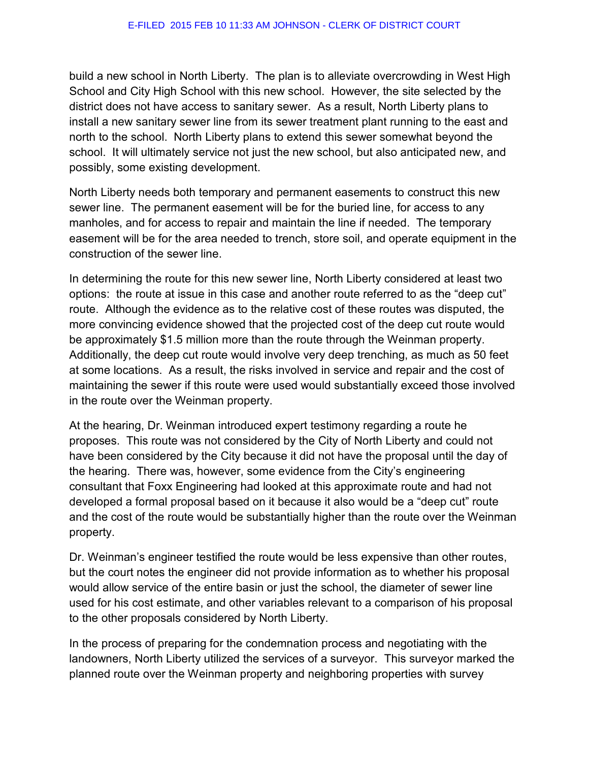build a new school in North Liberty. The plan is to alleviate overcrowding in West High School and City High School with this new school. However, the site selected by the district does not have access to sanitary sewer. As a result, North Liberty plans to install a new sanitary sewer line from its sewer treatment plant running to the east and north to the school. North Liberty plans to extend this sewer somewhat beyond the school. It will ultimately service not just the new school, but also anticipated new, and possibly, some existing development.

North Liberty needs both temporary and permanent easements to construct this new sewer line. The permanent easement will be for the buried line, for access to any manholes, and for access to repair and maintain the line if needed. The temporary easement will be for the area needed to trench, store soil, and operate equipment in the construction of the sewer line.

In determining the route for this new sewer line, North Liberty considered at least two options: the route at issue in this case and another route referred to as the "deep cut" route. Although the evidence as to the relative cost of these routes was disputed, the more convincing evidence showed that the projected cost of the deep cut route would be approximately \$1.5 million more than the route through the Weinman property. Additionally, the deep cut route would involve very deep trenching, as much as 50 feet at some locations. As a result, the risks involved in service and repair and the cost of maintaining the sewer if this route were used would substantially exceed those involved in the route over the Weinman property.

At the hearing, Dr. Weinman introduced expert testimony regarding a route he proposes. This route was not considered by the City of North Liberty and could not have been considered by the City because it did not have the proposal until the day of the hearing. There was, however, some evidence from the City's engineering consultant that Foxx Engineering had looked at this approximate route and had not developed a formal proposal based on it because it also would be a "deep cut" route and the cost of the route would be substantially higher than the route over the Weinman property.

Dr. Weinman's engineer testified the route would be less expensive than other routes, but the court notes the engineer did not provide information as to whether his proposal would allow service of the entire basin or just the school, the diameter of sewer line used for his cost estimate, and other variables relevant to a comparison of his proposal to the other proposals considered by North Liberty.

In the process of preparing for the condemnation process and negotiating with the landowners, North Liberty utilized the services of a surveyor. This surveyor marked the planned route over the Weinman property and neighboring properties with survey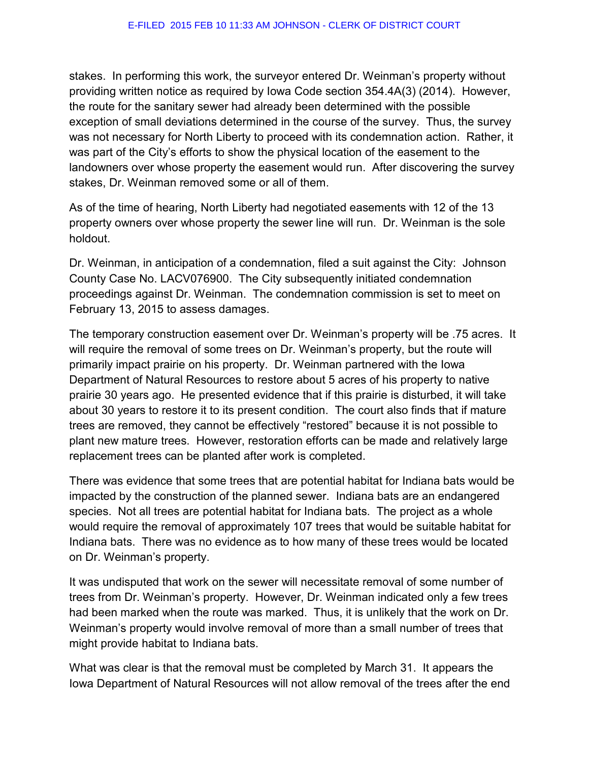stakes. In performing this work, the surveyor entered Dr. Weinman's property without providing written notice as required by Iowa Code section 354.4A(3) (2014). However, the route for the sanitary sewer had already been determined with the possible exception of small deviations determined in the course of the survey. Thus, the survey was not necessary for North Liberty to proceed with its condemnation action. Rather, it was part of the City's efforts to show the physical location of the easement to the landowners over whose property the easement would run. After discovering the survey stakes, Dr. Weinman removed some or all of them.

As of the time of hearing, North Liberty had negotiated easements with 12 of the 13 property owners over whose property the sewer line will run. Dr. Weinman is the sole holdout.

Dr. Weinman, in anticipation of a condemnation, filed a suit against the City: Johnson County Case No. LACV076900. The City subsequently initiated condemnation proceedings against Dr. Weinman. The condemnation commission is set to meet on February 13, 2015 to assess damages.

The temporary construction easement over Dr. Weinman's property will be .75 acres. It will require the removal of some trees on Dr. Weinman's property, but the route will primarily impact prairie on his property. Dr. Weinman partnered with the Iowa Department of Natural Resources to restore about 5 acres of his property to native prairie 30 years ago. He presented evidence that if this prairie is disturbed, it will take about 30 years to restore it to its present condition. The court also finds that if mature trees are removed, they cannot be effectively "restored" because it is not possible to plant new mature trees. However, restoration efforts can be made and relatively large replacement trees can be planted after work is completed.

There was evidence that some trees that are potential habitat for Indiana bats would be impacted by the construction of the planned sewer. Indiana bats are an endangered species. Not all trees are potential habitat for Indiana bats. The project as a whole would require the removal of approximately 107 trees that would be suitable habitat for Indiana bats. There was no evidence as to how many of these trees would be located on Dr. Weinman's property.

It was undisputed that work on the sewer will necessitate removal of some number of trees from Dr. Weinman's property. However, Dr. Weinman indicated only a few trees had been marked when the route was marked. Thus, it is unlikely that the work on Dr. Weinman's property would involve removal of more than a small number of trees that might provide habitat to Indiana bats.

What was clear is that the removal must be completed by March 31. It appears the Iowa Department of Natural Resources will not allow removal of the trees after the end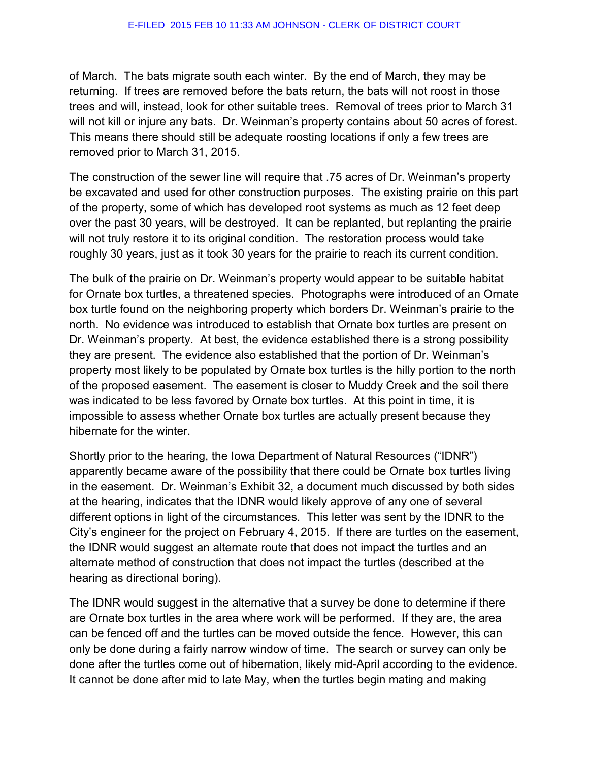of March. The bats migrate south each winter. By the end of March, they may be returning. If trees are removed before the bats return, the bats will not roost in those trees and will, instead, look for other suitable trees. Removal of trees prior to March 31 will not kill or injure any bats. Dr. Weinman's property contains about 50 acres of forest. This means there should still be adequate roosting locations if only a few trees are removed prior to March 31, 2015.

The construction of the sewer line will require that .75 acres of Dr. Weinman's property be excavated and used for other construction purposes. The existing prairie on this part of the property, some of which has developed root systems as much as 12 feet deep over the past 30 years, will be destroyed. It can be replanted, but replanting the prairie will not truly restore it to its original condition. The restoration process would take roughly 30 years, just as it took 30 years for the prairie to reach its current condition.

The bulk of the prairie on Dr. Weinman's property would appear to be suitable habitat for Ornate box turtles, a threatened species. Photographs were introduced of an Ornate box turtle found on the neighboring property which borders Dr. Weinman's prairie to the north. No evidence was introduced to establish that Ornate box turtles are present on Dr. Weinman's property. At best, the evidence established there is a strong possibility they are present. The evidence also established that the portion of Dr. Weinman's property most likely to be populated by Ornate box turtles is the hilly portion to the north of the proposed easement. The easement is closer to Muddy Creek and the soil there was indicated to be less favored by Ornate box turtles. At this point in time, it is impossible to assess whether Ornate box turtles are actually present because they hibernate for the winter.

Shortly prior to the hearing, the Iowa Department of Natural Resources ("IDNR") apparently became aware of the possibility that there could be Ornate box turtles living in the easement. Dr. Weinman's Exhibit 32, a document much discussed by both sides at the hearing, indicates that the IDNR would likely approve of any one of several different options in light of the circumstances. This letter was sent by the IDNR to the City's engineer for the project on February 4, 2015. If there are turtles on the easement, the IDNR would suggest an alternate route that does not impact the turtles and an alternate method of construction that does not impact the turtles (described at the hearing as directional boring).

The IDNR would suggest in the alternative that a survey be done to determine if there are Ornate box turtles in the area where work will be performed. If they are, the area can be fenced off and the turtles can be moved outside the fence. However, this can only be done during a fairly narrow window of time. The search or survey can only be done after the turtles come out of hibernation, likely mid-April according to the evidence. It cannot be done after mid to late May, when the turtles begin mating and making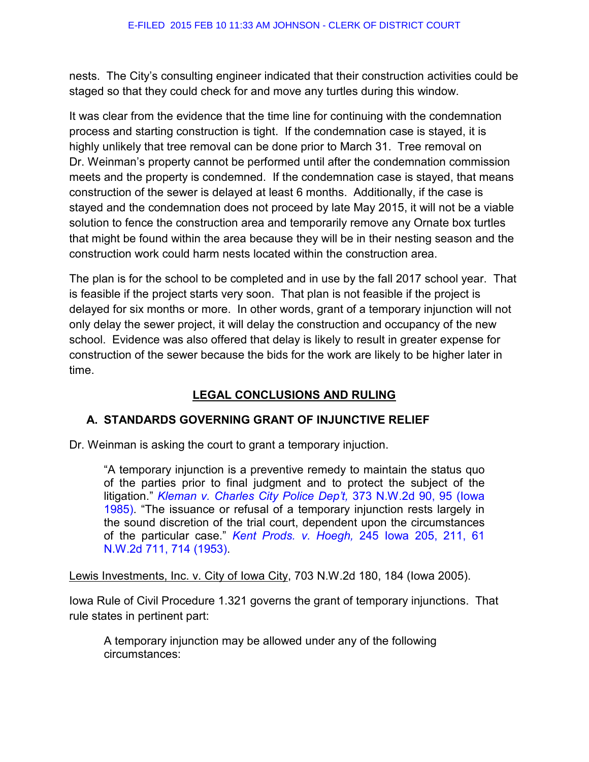nests. The City's consulting engineer indicated that their construction activities could be staged so that they could check for and move any turtles during this window.

It was clear from the evidence that the time line for continuing with the condemnation process and starting construction is tight. If the condemnation case is stayed, it is highly unlikely that tree removal can be done prior to March 31. Tree removal on Dr. Weinman's property cannot be performed until after the condemnation commission meets and the property is condemned. If the condemnation case is stayed, that means construction of the sewer is delayed at least 6 months. Additionally, if the case is stayed and the condemnation does not proceed by late May 2015, it will not be a viable solution to fence the construction area and temporarily remove any Ornate box turtles that might be found within the area because they will be in their nesting season and the construction work could harm nests located within the construction area.

The plan is for the school to be completed and in use by the fall 2017 school year. That is feasible if the project starts very soon. That plan is not feasible if the project is delayed for six months or more. In other words, grant of a temporary injunction will not only delay the sewer project, it will delay the construction and occupancy of the new school. Evidence was also offered that delay is likely to result in greater expense for construction of the sewer because the bids for the work are likely to be higher later in time.

# **LEGAL CONCLUSIONS AND RULING**

# **A. STANDARDS GOVERNING GRANT OF INJUNCTIVE RELIEF**

Dr. Weinman is asking the court to grant a temporary injuction.

"A temporary injunction is a preventive remedy to maintain the status quo of the parties prior to final judgment and to protect the subject of the litigation." *[Kleman v. Charles City Police Dep't,](http://www.westlaw.com/Link/Document/FullText?findType=Y&serNum=1985142225&pubNum=595&originatingDoc=Iec365b7d1bca11da9bcc85e7f8e2f4cd&refType=RP&fi=co_pp_sp_595_95&originationContext=document&vr=3.0&rs=cblt1.0&transitionType=DocumentItem&contextData=%28sc.UserEnteredCitation%29#co_pp_sp_595_95)* 373 N.W.2d 90, 95 (Iowa [1985\).](http://www.westlaw.com/Link/Document/FullText?findType=Y&serNum=1985142225&pubNum=595&originatingDoc=Iec365b7d1bca11da9bcc85e7f8e2f4cd&refType=RP&fi=co_pp_sp_595_95&originationContext=document&vr=3.0&rs=cblt1.0&transitionType=DocumentItem&contextData=%28sc.UserEnteredCitation%29#co_pp_sp_595_95) "The issuance or refusal of a temporary injunction rests largely in the sound discretion of the trial court, dependent upon the circumstances of the particular case." *Kent Prods. v. Hoegh,* [245 Iowa 205, 211, 61](http://www.westlaw.com/Link/Document/FullText?findType=Y&serNum=1954105586&pubNum=595&originatingDoc=Iec365b7d1bca11da9bcc85e7f8e2f4cd&refType=RP&fi=co_pp_sp_595_714&originationContext=document&vr=3.0&rs=cblt1.0&transitionType=DocumentItem&contextData=%28sc.UserEnteredCitation%29#co_pp_sp_595_714)  [N.W.2d 711, 714 \(1953\).](http://www.westlaw.com/Link/Document/FullText?findType=Y&serNum=1954105586&pubNum=595&originatingDoc=Iec365b7d1bca11da9bcc85e7f8e2f4cd&refType=RP&fi=co_pp_sp_595_714&originationContext=document&vr=3.0&rs=cblt1.0&transitionType=DocumentItem&contextData=%28sc.UserEnteredCitation%29#co_pp_sp_595_714) 

Lewis Investments, Inc. v. City of Iowa City, 703 N.W.2d 180, 184 (Iowa 2005).

Iowa Rule of Civil Procedure 1.321 governs the grant of temporary injunctions. That rule states in pertinent part:

A temporary injunction may be allowed under any of the following circumstances: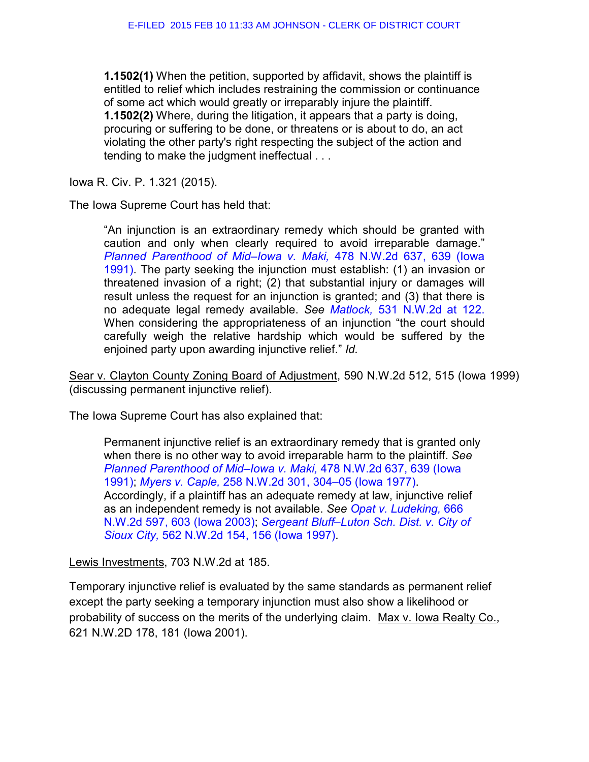**1.1502(1)** When the petition, supported by affidavit, shows the plaintiff is entitled to relief which includes restraining the commission or continuance of some act which would greatly or irreparably injure the plaintiff. **1.1502(2)** Where, during the litigation, it appears that a party is doing, procuring or suffering to be done, or threatens or is about to do, an act violating the other party's right respecting the subject of the action and tending to make the judgment ineffectual . . .

Iowa R. Civ. P. 1.321 (2015).

The Iowa Supreme Court has held that:

"An injunction is an extraordinary remedy which should be granted with caution and only when clearly required to avoid irreparable damage." *[Planned Parenthood of Mid–Iowa v. Maki,](http://www.westlaw.com/Link/Document/FullText?findType=Y&serNum=1991209791&pubNum=595&originatingDoc=I9aa6d3e4ff3e11d9b386b232635db992&refType=RP&fi=co_pp_sp_595_639&originationContext=document&vr=3.0&rs=cblt1.0&transitionType=DocumentItem&contextData=%28sc.UserEnteredCitation%29#co_pp_sp_595_639)* 478 N.W.2d 637, 639 (Iowa [1991\).](http://www.westlaw.com/Link/Document/FullText?findType=Y&serNum=1991209791&pubNum=595&originatingDoc=I9aa6d3e4ff3e11d9b386b232635db992&refType=RP&fi=co_pp_sp_595_639&originationContext=document&vr=3.0&rs=cblt1.0&transitionType=DocumentItem&contextData=%28sc.UserEnteredCitation%29#co_pp_sp_595_639) The party seeking the injunction must establish: (1) an invasion or threatened invasion of a right; (2) that substantial injury or damages will result unless the request for an injunction is granted; and (3) that there is no adequate legal remedy available. *See Matlock,* [531 N.W.2d at 122.](http://www.westlaw.com/Link/Document/FullText?findType=Y&serNum=1995098501&pubNum=595&originatingDoc=I9aa6d3e4ff3e11d9b386b232635db992&refType=RP&fi=co_pp_sp_595_122&originationContext=document&vr=3.0&rs=cblt1.0&transitionType=DocumentItem&contextData=%28sc.UserEnteredCitation%29#co_pp_sp_595_122) When considering the appropriateness of an injunction "the court should carefully weigh the relative hardship which would be suffered by the enjoined party upon awarding injunctive relief." *Id.* 

Sear v. Clayton County Zoning Board of Adjustment, 590 N.W.2d 512, 515 (Iowa 1999) (discussing permanent injunctive relief).

The Iowa Supreme Court has also explained that:

Permanent injunctive relief is an extraordinary remedy that is granted only when there is no other way to avoid irreparable harm to the plaintiff. *See [Planned Parenthood of Mid–Iowa v. Maki,](http://www.westlaw.com/Link/Document/FullText?findType=Y&serNum=1991209791&pubNum=595&originatingDoc=Iec365b7d1bca11da9bcc85e7f8e2f4cd&refType=RP&fi=co_pp_sp_595_639&originationContext=document&vr=3.0&rs=cblt1.0&transitionType=DocumentItem&contextData=%28sc.UserEnteredCitation%29#co_pp_sp_595_639)* 478 N.W.2d 637, 639 (Iowa [1991\);](http://www.westlaw.com/Link/Document/FullText?findType=Y&serNum=1991209791&pubNum=595&originatingDoc=Iec365b7d1bca11da9bcc85e7f8e2f4cd&refType=RP&fi=co_pp_sp_595_639&originationContext=document&vr=3.0&rs=cblt1.0&transitionType=DocumentItem&contextData=%28sc.UserEnteredCitation%29#co_pp_sp_595_639) *Myers v. Caple,* [258 N.W.2d 301, 304–05 \(Iowa 1977\).](http://www.westlaw.com/Link/Document/FullText?findType=Y&serNum=1977131295&pubNum=595&originatingDoc=Iec365b7d1bca11da9bcc85e7f8e2f4cd&refType=RP&fi=co_pp_sp_595_304&originationContext=document&vr=3.0&rs=cblt1.0&transitionType=DocumentItem&contextData=%28sc.UserEnteredCitation%29#co_pp_sp_595_304) Accordingly, if a plaintiff has an adequate remedy at law, injunctive relief as an independent remedy is not available. *See [Opat v. Ludeking,](http://www.westlaw.com/Link/Document/FullText?findType=Y&serNum=2003497014&pubNum=595&originatingDoc=Iec365b7d1bca11da9bcc85e7f8e2f4cd&refType=RP&fi=co_pp_sp_595_603&originationContext=document&vr=3.0&rs=cblt1.0&transitionType=DocumentItem&contextData=%28sc.UserEnteredCitation%29#co_pp_sp_595_603)* 666 [N.W.2d 597, 603 \(Iowa 2003\);](http://www.westlaw.com/Link/Document/FullText?findType=Y&serNum=2003497014&pubNum=595&originatingDoc=Iec365b7d1bca11da9bcc85e7f8e2f4cd&refType=RP&fi=co_pp_sp_595_603&originationContext=document&vr=3.0&rs=cblt1.0&transitionType=DocumentItem&contextData=%28sc.UserEnteredCitation%29#co_pp_sp_595_603) *[Sergeant Bluff–Luton Sch. Dist. v. City of](http://www.westlaw.com/Link/Document/FullText?findType=Y&serNum=1997095635&pubNum=595&originatingDoc=Iec365b7d1bca11da9bcc85e7f8e2f4cd&refType=RP&fi=co_pp_sp_595_156&originationContext=document&vr=3.0&rs=cblt1.0&transitionType=DocumentItem&contextData=%28sc.UserEnteredCitation%29#co_pp_sp_595_156)  Sioux City,* [562 N.W.2d 154, 156 \(Iowa 1997\).](http://www.westlaw.com/Link/Document/FullText?findType=Y&serNum=1997095635&pubNum=595&originatingDoc=Iec365b7d1bca11da9bcc85e7f8e2f4cd&refType=RP&fi=co_pp_sp_595_156&originationContext=document&vr=3.0&rs=cblt1.0&transitionType=DocumentItem&contextData=%28sc.UserEnteredCitation%29#co_pp_sp_595_156)

Lewis Investments, 703 N.W.2d at 185.

Temporary injunctive relief is evaluated by the same standards as permanent relief except the party seeking a temporary injunction must also show a likelihood or probability of success on the merits of the underlying claim. Max v. Iowa Realty Co., 621 N.W.2D 178, 181 (Iowa 2001).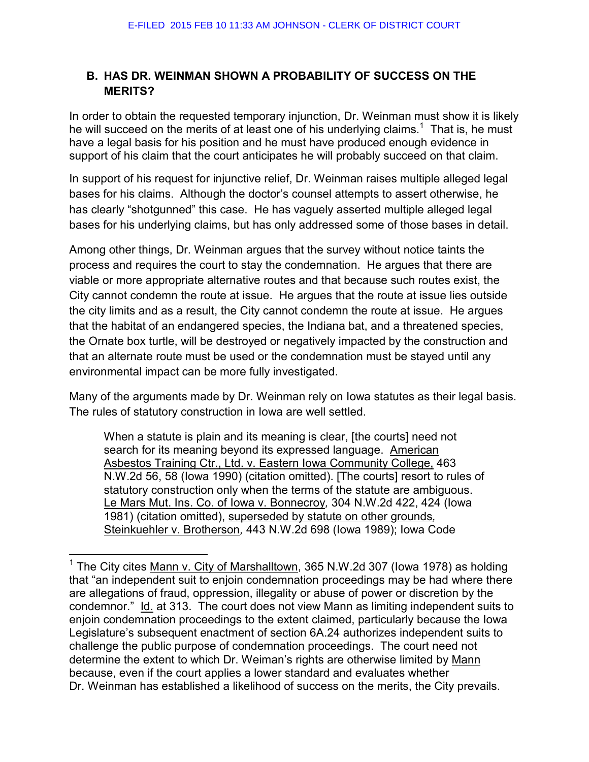## **B. HAS DR. WEINMAN SHOWN A PROBABILITY OF SUCCESS ON THE MERITS?**

In order to obtain the requested temporary injunction, Dr. Weinman must show it is likely he will succeed on the merits of at least one of his underlying claims.<sup>1</sup> That is, he must have a legal basis for his position and he must have produced enough evidence in support of his claim that the court anticipates he will probably succeed on that claim.

In support of his request for injunctive relief, Dr. Weinman raises multiple alleged legal bases for his claims. Although the doctor's counsel attempts to assert otherwise, he has clearly "shotgunned" this case. He has vaguely asserted multiple alleged legal bases for his underlying claims, but has only addressed some of those bases in detail.

Among other things, Dr. Weinman argues that the survey without notice taints the process and requires the court to stay the condemnation. He argues that there are viable or more appropriate alternative routes and that because such routes exist, the City cannot condemn the route at issue. He argues that the route at issue lies outside the city limits and as a result, the City cannot condemn the route at issue. He argues that the habitat of an endangered species, the Indiana bat, and a threatened species, the Ornate box turtle, will be destroyed or negatively impacted by the construction and that an alternate route must be used or the condemnation must be stayed until any environmental impact can be more fully investigated.

Many of the arguments made by Dr. Weinman rely on Iowa statutes as their legal basis. The rules of statutory construction in Iowa are well settled.

When a statute is plain and its meaning is clear, [the courts] need not search for its meaning beyond its expressed language. [American](http://www.westlaw.com/Find/Default.wl?rs=dfa1.0&vr=2.0&DB=595&FindType=Y&ReferencePositionType=S&SerialNum=1990167641&ReferencePosition=58)  [Asbestos Training Ctr., Ltd. v. Eastern Iowa Community College, 463](http://www.westlaw.com/Find/Default.wl?rs=dfa1.0&vr=2.0&DB=595&FindType=Y&ReferencePositionType=S&SerialNum=1990167641&ReferencePosition=58)  [N.W.2d 56, 58 \(Iowa 1990\)](http://www.westlaw.com/Find/Default.wl?rs=dfa1.0&vr=2.0&DB=595&FindType=Y&ReferencePositionType=S&SerialNum=1990167641&ReferencePosition=58) (citation omitted). [The courts] resort to rules of statutory construction only when the terms of the statute are ambiguous. [Le Mars Mut. Ins. Co. of Iowa v. Bonnecroy](http://www.westlaw.com/Find/Default.wl?rs=dfa1.0&vr=2.0&DB=595&FindType=Y&ReferencePositionType=S&SerialNum=1981116147&ReferencePosition=424)*,* [304 N.W.2d 422, 424 \(Iowa](http://www.westlaw.com/Find/Default.wl?rs=dfa1.0&vr=2.0&DB=595&FindType=Y&ReferencePositionType=S&SerialNum=1981116147&ReferencePosition=424)  [1981\)](http://www.westlaw.com/Find/Default.wl?rs=dfa1.0&vr=2.0&DB=595&FindType=Y&ReferencePositionType=S&SerialNum=1981116147&ReferencePosition=424) (citation omitted), superseded by statute on other grounds*,*  [Steinkuehler v. Brotherson](http://www.westlaw.com/Find/Default.wl?rs=dfa1.0&vr=2.0&DB=595&FindType=Y&SerialNum=1989109569)*,* [443 N.W.2d 698 \(Iowa 1989\);](http://www.westlaw.com/Find/Default.wl?rs=dfa1.0&vr=2.0&DB=595&FindType=Y&SerialNum=1989109569) [Iowa Code](http://www.westlaw.com/Find/Default.wl?rs=dfa1.0&vr=2.0&DB=1000256&DocName=IASTS4.6&FindType=L) 

l

<sup>&</sup>lt;sup>1</sup> The City cites Mann v. City of Marshalltown, 365 N.W.2d 307 (lowa 1978) as holding that "an independent suit to enjoin condemnation proceedings may be had where there are allegations of fraud, oppression, illegality or abuse of power or discretion by the condemnor." Id. at 313. The court does not view Mann as limiting independent suits to enjoin condemnation proceedings to the extent claimed, particularly because the Iowa Legislature's subsequent enactment of section 6A.24 authorizes independent suits to challenge the public purpose of condemnation proceedings. The court need not determine the extent to which Dr. Weiman's rights are otherwise limited by Mann because, even if the court applies a lower standard and evaluates whether Dr. Weinman has established a likelihood of success on the merits, the City prevails.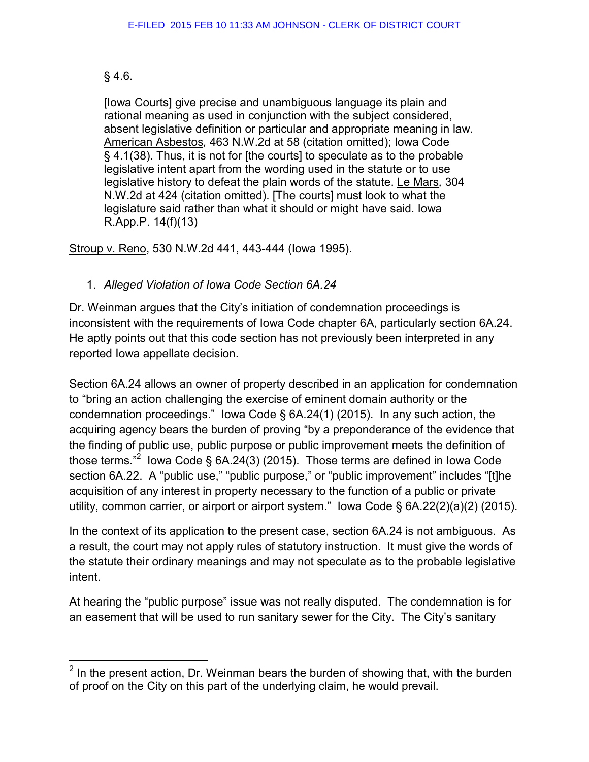## [§ 4.6.](http://www.westlaw.com/Find/Default.wl?rs=dfa1.0&vr=2.0&DB=1000256&DocName=IASTS4.6&FindType=L)

 $\overline{a}$ 

[Iowa Courts] give precise and unambiguous language its plain and rational meaning as used in conjunction with the subject considered, absent legislative definition or particular and appropriate meaning in law. [American Asbestos](http://www.westlaw.com/Find/Default.wl?rs=dfa1.0&vr=2.0&DB=595&FindType=Y&ReferencePositionType=S&SerialNum=1990167641&ReferencePosition=58)*,* [463 N.W.2d at 58](http://www.westlaw.com/Find/Default.wl?rs=dfa1.0&vr=2.0&DB=595&FindType=Y&ReferencePositionType=S&SerialNum=1990167641&ReferencePosition=58) (citation omitted); [Iowa Code](http://www.westlaw.com/Find/Default.wl?rs=dfa1.0&vr=2.0&DB=1000256&DocName=IASTS4.1&FindType=L)  [§ 4.1\(38\).](http://www.westlaw.com/Find/Default.wl?rs=dfa1.0&vr=2.0&DB=1000256&DocName=IASTS4.1&FindType=L) Thus, it is not for [the courts] to speculate as to the probable legislative intent apart from the wording used in the statute or to use legislative history to defeat the plain words of the statute. [Le Mars](http://www.westlaw.com/Find/Default.wl?rs=dfa1.0&vr=2.0&DB=595&FindType=Y&ReferencePositionType=S&SerialNum=1981116147&ReferencePosition=424)*,* [304](http://www.westlaw.com/Find/Default.wl?rs=dfa1.0&vr=2.0&DB=595&FindType=Y&ReferencePositionType=S&SerialNum=1981116147&ReferencePosition=424)  [N.W.2d at 424](http://www.westlaw.com/Find/Default.wl?rs=dfa1.0&vr=2.0&DB=595&FindType=Y&ReferencePositionType=S&SerialNum=1981116147&ReferencePosition=424) (citation omitted). [The courts] must look to what the legislature said rather than what it should or might have said. [Iowa](http://www.westlaw.com/Find/Default.wl?rs=dfa1.0&vr=2.0&DB=1005683&DocName=IARRAPR14&FindType=L)  [R.App.P. 14\(f\)\(13\)](http://www.westlaw.com/Find/Default.wl?rs=dfa1.0&vr=2.0&DB=1005683&DocName=IARRAPR14&FindType=L) 

Stroup v. Reno, 530 N.W.2d 441, 443-444 (Iowa 1995).

# 1. *Alleged Violation of Iowa Code Section 6A.24*

Dr. Weinman argues that the City's initiation of condemnation proceedings is inconsistent with the requirements of Iowa Code chapter 6A, particularly section 6A.24. He aptly points out that this code section has not previously been interpreted in any reported Iowa appellate decision.

Section 6A.24 allows an owner of property described in an application for condemnation to "bring an action challenging the exercise of eminent domain authority or the condemnation proceedings." Iowa Code § 6A.24(1) (2015). In any such action, the acquiring agency bears the burden of proving "by a preponderance of the evidence that the finding of public use, public purpose or public improvement meets the definition of those terms."<sup>2</sup> lowa Code § 6A.24(3) (2015). Those terms are defined in lowa Code section 6A.22. A "public use," "public purpose," or "public improvement" includes "[t]he acquisition of any interest in property necessary to the function of a public or private utility, common carrier, or airport or airport system." Iowa Code § 6A.22(2)(a)(2) (2015).

In the context of its application to the present case, section 6A.24 is not ambiguous. As a result, the court may not apply rules of statutory instruction. It must give the words of the statute their ordinary meanings and may not speculate as to the probable legislative intent.

At hearing the "public purpose" issue was not really disputed. The condemnation is for an easement that will be used to run sanitary sewer for the City. The City's sanitary

 $2$  In the present action, Dr. Weinman bears the burden of showing that, with the burden of proof on the City on this part of the underlying claim, he would prevail.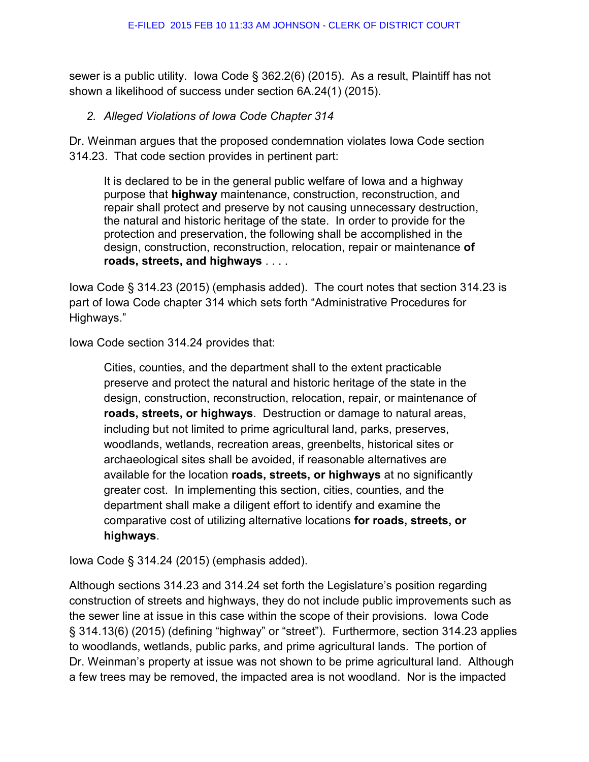sewer is a public utility. Iowa Code § 362.2(6) (2015). As a result, Plaintiff has not shown a likelihood of success under section 6A.24(1) (2015).

## *2. Alleged Violations of Iowa Code Chapter 314*

Dr. Weinman argues that the proposed condemnation violates Iowa Code section 314.23. That code section provides in pertinent part:

It is declared to be in the general public welfare of Iowa and a highway purpose that **highway** maintenance, construction, reconstruction, and repair shall protect and preserve by not causing unnecessary destruction, the natural and historic heritage of the state. In order to provide for the protection and preservation, the following shall be accomplished in the design, construction, reconstruction, relocation, repair or maintenance **of roads, streets, and highways** . . . .

Iowa Code § 314.23 (2015) (emphasis added). The court notes that section 314.23 is part of Iowa Code chapter 314 which sets forth "Administrative Procedures for Highways."

Iowa Code section 314.24 provides that:

Cities, counties, and the department shall to the extent practicable preserve and protect the natural and historic heritage of the state in the design, construction, reconstruction, relocation, repair, or maintenance of **roads, streets, or highways**. Destruction or damage to natural areas, including but not limited to prime agricultural land, parks, preserves, woodlands, wetlands, recreation areas, greenbelts, historical sites or archaeological sites shall be avoided, if reasonable alternatives are available for the location **roads, streets, or highways** at no significantly greater cost. In implementing this section, cities, counties, and the department shall make a diligent effort to identify and examine the comparative cost of utilizing alternative locations **for roads, streets, or highways**.

Iowa Code § 314.24 (2015) (emphasis added).

Although sections 314.23 and 314.24 set forth the Legislature's position regarding construction of streets and highways, they do not include public improvements such as the sewer line at issue in this case within the scope of their provisions. Iowa Code § 314.13(6) (2015) (defining "highway" or "street"). Furthermore, section 314.23 applies to woodlands, wetlands, public parks, and prime agricultural lands. The portion of Dr. Weinman's property at issue was not shown to be prime agricultural land. Although a few trees may be removed, the impacted area is not woodland. Nor is the impacted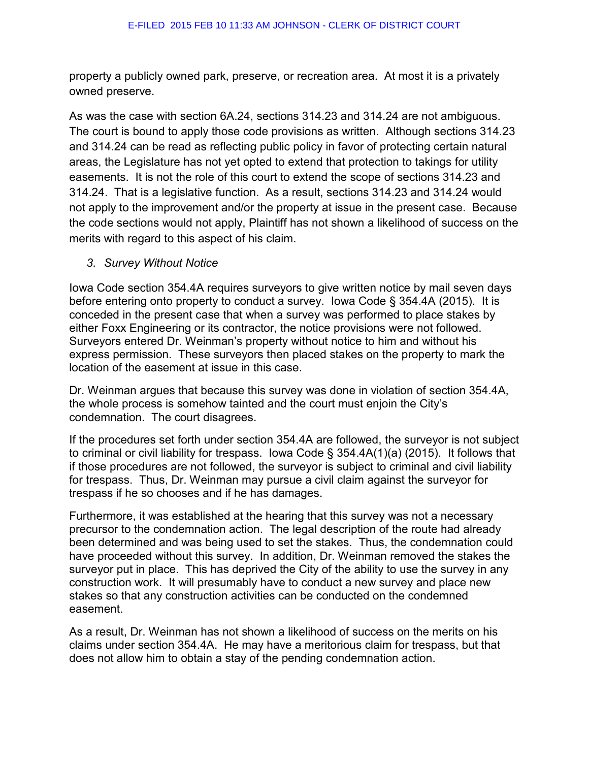property a publicly owned park, preserve, or recreation area. At most it is a privately owned preserve.

As was the case with section 6A.24, sections 314.23 and 314.24 are not ambiguous. The court is bound to apply those code provisions as written. Although sections 314.23 and 314.24 can be read as reflecting public policy in favor of protecting certain natural areas, the Legislature has not yet opted to extend that protection to takings for utility easements. It is not the role of this court to extend the scope of sections 314.23 and 314.24. That is a legislative function. As a result, sections 314.23 and 314.24 would not apply to the improvement and/or the property at issue in the present case. Because the code sections would not apply, Plaintiff has not shown a likelihood of success on the merits with regard to this aspect of his claim.

## *3. Survey Without Notice*

Iowa Code section 354.4A requires surveyors to give written notice by mail seven days before entering onto property to conduct a survey. Iowa Code § 354.4A (2015). It is conceded in the present case that when a survey was performed to place stakes by either Foxx Engineering or its contractor, the notice provisions were not followed. Surveyors entered Dr. Weinman's property without notice to him and without his express permission. These surveyors then placed stakes on the property to mark the location of the easement at issue in this case.

Dr. Weinman argues that because this survey was done in violation of section 354.4A, the whole process is somehow tainted and the court must enjoin the City's condemnation. The court disagrees.

If the procedures set forth under section 354.4A are followed, the surveyor is not subject to criminal or civil liability for trespass. Iowa Code § 354.4A(1)(a) (2015). It follows that if those procedures are not followed, the surveyor is subject to criminal and civil liability for trespass. Thus, Dr. Weinman may pursue a civil claim against the surveyor for trespass if he so chooses and if he has damages.

Furthermore, it was established at the hearing that this survey was not a necessary precursor to the condemnation action. The legal description of the route had already been determined and was being used to set the stakes. Thus, the condemnation could have proceeded without this survey. In addition, Dr. Weinman removed the stakes the surveyor put in place. This has deprived the City of the ability to use the survey in any construction work. It will presumably have to conduct a new survey and place new stakes so that any construction activities can be conducted on the condemned easement.

As a result, Dr. Weinman has not shown a likelihood of success on the merits on his claims under section 354.4A. He may have a meritorious claim for trespass, but that does not allow him to obtain a stay of the pending condemnation action.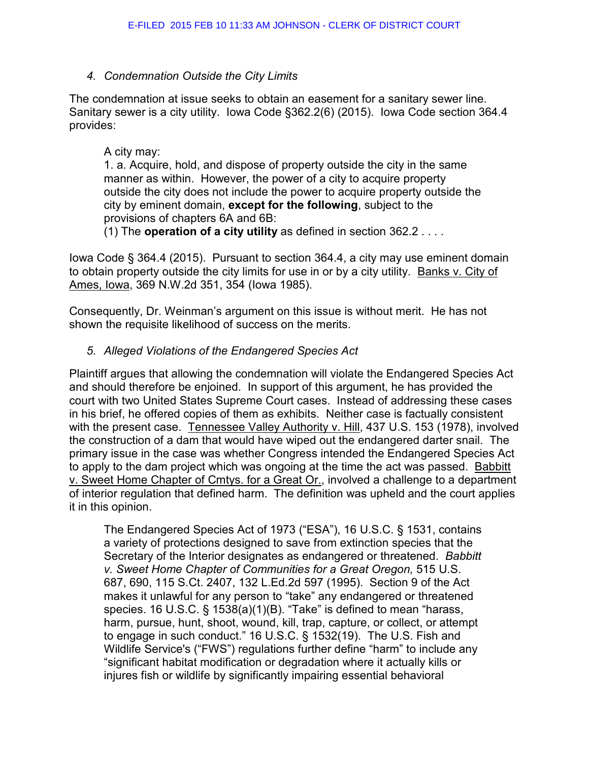## *4. Condemnation Outside the City Limits*

The condemnation at issue seeks to obtain an easement for a sanitary sewer line. Sanitary sewer is a city utility. Iowa Code §362.2(6) (2015). Iowa Code section 364.4 provides:

#### A city may:

1. a. Acquire, hold, and dispose of property outside the city in the same manner as within. However, the power of a city to acquire property outside the city does not include the power to acquire property outside the city by eminent domain, **except for the following**, subject to the provisions of chapters 6A and 6B:

(1) The **operation of a city utility** as defined in [section 362.2](https://1.next.westlaw.com/Link/Document/FullText?findType=L&pubNum=1000256&cite=IASTS362.2&originatingDoc=NCDEFAB40A9B011E1888481CDCD6F63B4&refType=LQ&originationContext=document&transitionType=DocumentItem&contextData=%28sc.UserEnteredCitation%29) . . . .

Iowa Code § 364.4 (2015). Pursuant to section 364.4, a city may use eminent domain to obtain property outside the city limits for use in or by a city utility. Banks v. City of Ames, Iowa, 369 N.W.2d 351, 354 (Iowa 1985).

Consequently, Dr. Weinman's argument on this issue is without merit. He has not shown the requisite likelihood of success on the merits.

## *5. Alleged Violations of the Endangered Species Act*

Plaintiff argues that allowing the condemnation will violate the Endangered Species Act and should therefore be enjoined. In support of this argument, he has provided the court with two United States Supreme Court cases. Instead of addressing these cases in his brief, he offered copies of them as exhibits. Neither case is factually consistent with the present case. Tennessee Valley Authority v. Hill, 437 U.S. 153 (1978), involved the construction of a dam that would have wiped out the endangered darter snail. The primary issue in the case was whether Congress intended the Endangered Species Act to apply to the dam project which was ongoing at the time the act was passed. Babbitt v. Sweet Home Chapter of Cmtys. for a Great Or., involved a challenge to a department of interior regulation that defined harm. The definition was upheld and the court applies it in this opinion.

The Endangered Species Act of 1973 ("ESA"), [16 U.S.C. § 1531,](https://1.next.westlaw.com/Link/Document/FullText?findType=L&pubNum=1000546&cite=16USCAS1531&originatingDoc=I2ca72aa21be111e1a5d6f94bcaceb380&refType=LQ&originationContext=document&transitionType=DocumentItem&contextData=%28sc.UserEnteredCitation%29) contains a variety of protections designed to save from extinction species that the Secretary of the Interior designates as endangered or threatened. *[Babbitt](https://1.next.westlaw.com/Link/Document/FullText?findType=Y&serNum=1995137649&pubNum=708&originatingDoc=I2ca72aa21be111e1a5d6f94bcaceb380&refType=RP&originationContext=document&transitionType=DocumentItem&contextData=%28sc.UserEnteredCitation%29)  [v. Sweet Home Chapter of Communities for a Great Oregon,](https://1.next.westlaw.com/Link/Document/FullText?findType=Y&serNum=1995137649&pubNum=708&originatingDoc=I2ca72aa21be111e1a5d6f94bcaceb380&refType=RP&originationContext=document&transitionType=DocumentItem&contextData=%28sc.UserEnteredCitation%29)* 515 U.S. [687, 690, 115 S.Ct. 2407, 132 L.Ed.2d 597 \(1995\).](https://1.next.westlaw.com/Link/Document/FullText?findType=Y&serNum=1995137649&pubNum=708&originatingDoc=I2ca72aa21be111e1a5d6f94bcaceb380&refType=RP&originationContext=document&transitionType=DocumentItem&contextData=%28sc.UserEnteredCitation%29) Section 9 of the Act makes it unlawful for any person to "take" any endangered or threatened species. [16 U.S.C. § 1538\(a\)\(1\)\(B\).](https://1.next.westlaw.com/Link/Document/FullText?findType=L&pubNum=1000546&cite=16USCAS1538&originatingDoc=I2ca72aa21be111e1a5d6f94bcaceb380&refType=RB&originationContext=document&transitionType=DocumentItem&contextData=%28sc.UserEnteredCitation%29#co_pp_50660000823d1) "Take" is defined to mean "harass, harm, pursue, hunt, shoot, wound, kill, trap, capture, or collect, or attempt to engage in such conduct." [16 U.S.C. § 1532\(19\).](https://1.next.westlaw.com/Link/Document/FullText?findType=L&pubNum=1000546&cite=16USCAS1532&originatingDoc=I2ca72aa21be111e1a5d6f94bcaceb380&refType=RB&originationContext=document&transitionType=DocumentItem&contextData=%28sc.UserEnteredCitation%29#co_pp_828f000092994) The U.S. Fish and Wildlife Service's ("FWS") regulations further define "harm" to include any "significant habitat modification or degradation where it actually kills or injures fish or wildlife by significantly impairing essential behavioral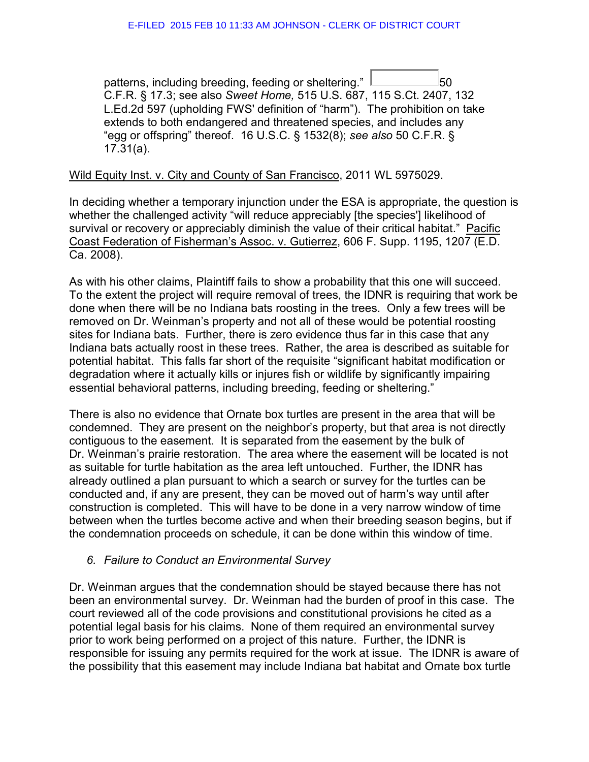patterns, including breeding, feeding or sheltering."  $\Box$  50 [C.F.R. § 17.3;](https://1.next.westlaw.com/Link/Document/FullText?findType=L&pubNum=1000547&cite=50CFRS17.3&originatingDoc=I2ca72aa21be111e1a5d6f94bcaceb380&refType=LQ&originationContext=document&transitionType=DocumentItem&contextData=%28sc.UserEnteredCitation%29) see also *Sweet Home,* [515 U.S. 687, 115 S.Ct. 2407, 132](https://1.next.westlaw.com/Link/Document/FullText?findType=Y&serNum=1995137649&pubNum=708&originatingDoc=I2ca72aa21be111e1a5d6f94bcaceb380&refType=RP&originationContext=document&transitionType=DocumentItem&contextData=%28sc.UserEnteredCitation%29)  [L.Ed.2d 597](https://1.next.westlaw.com/Link/Document/FullText?findType=Y&serNum=1995137649&pubNum=708&originatingDoc=I2ca72aa21be111e1a5d6f94bcaceb380&refType=RP&originationContext=document&transitionType=DocumentItem&contextData=%28sc.UserEnteredCitation%29) (upholding FWS' definition of "harm"). The prohibition on take extends to both endangered and threatened species, and includes any "egg or offspring" thereof. [16 U.S.C. § 1532\(8\);](https://1.next.westlaw.com/Link/Document/FullText?findType=L&pubNum=1000546&cite=16USCAS1532&originatingDoc=I2ca72aa21be111e1a5d6f94bcaceb380&refType=RB&originationContext=document&transitionType=DocumentItem&contextData=%28sc.UserEnteredCitation%29#co_pp_23450000ab4d2) *see also* [50 C.F.R. §](https://1.next.westlaw.com/Link/Document/FullText?findType=L&pubNum=1000547&cite=50CFRS17.31&originatingDoc=I2ca72aa21be111e1a5d6f94bcaceb380&refType=RB&originationContext=document&transitionType=DocumentItem&contextData=%28sc.UserEnteredCitation%29#co_pp_8b3b0000958a4)  [17.31\(a\).](https://1.next.westlaw.com/Link/Document/FullText?findType=L&pubNum=1000547&cite=50CFRS17.31&originatingDoc=I2ca72aa21be111e1a5d6f94bcaceb380&refType=RB&originationContext=document&transitionType=DocumentItem&contextData=%28sc.UserEnteredCitation%29#co_pp_8b3b0000958a4)

#### Wild Equity Inst. v. City and County of San Francisco, 2011 WL 5975029.

In deciding whether a temporary injunction under the ESA is appropriate, the question is whether the challenged activity "will reduce appreciably [the species'] likelihood of survival or recovery or appreciably diminish the value of their critical habitat." Pacific Coast Federation of Fisherman's Assoc. v. Gutierrez, 606 F. Supp. 1195, 1207 (E.D. Ca. 2008).

As with his other claims, Plaintiff fails to show a probability that this one will succeed. To the extent the project will require removal of trees, the IDNR is requiring that work be done when there will be no Indiana bats roosting in the trees. Only a few trees will be removed on Dr. Weinman's property and not all of these would be potential roosting sites for Indiana bats. Further, there is zero evidence thus far in this case that any Indiana bats actually roost in these trees. Rather, the area is described as suitable for potential habitat. This falls far short of the requisite "significant habitat modification or degradation where it actually kills or injures fish or wildlife by significantly impairing essential behavioral patterns, including breeding, feeding or sheltering."

There is also no evidence that Ornate box turtles are present in the area that will be condemned. They are present on the neighbor's property, but that area is not directly contiguous to the easement. It is separated from the easement by the bulk of Dr. Weinman's prairie restoration. The area where the easement will be located is not as suitable for turtle habitation as the area left untouched. Further, the IDNR has already outlined a plan pursuant to which a search or survey for the turtles can be conducted and, if any are present, they can be moved out of harm's way until after construction is completed. This will have to be done in a very narrow window of time between when the turtles become active and when their breeding season begins, but if the condemnation proceeds on schedule, it can be done within this window of time.

#### *6. Failure to Conduct an Environmental Survey*

Dr. Weinman argues that the condemnation should be stayed because there has not been an environmental survey. Dr. Weinman had the burden of proof in this case. The court reviewed all of the code provisions and constitutional provisions he cited as a potential legal basis for his claims. None of them required an environmental survey prior to work being performed on a project of this nature. Further, the IDNR is responsible for issuing any permits required for the work at issue. The IDNR is aware of the possibility that this easement may include Indiana bat habitat and Ornate box turtle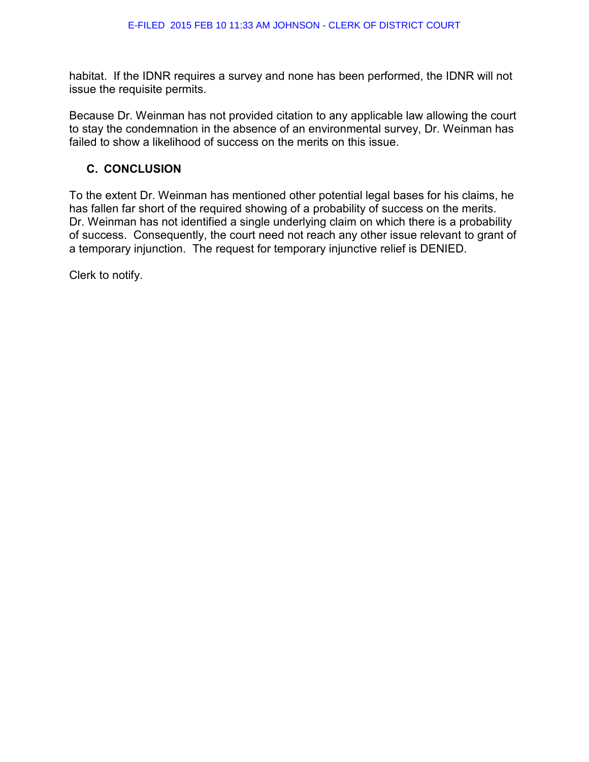habitat. If the IDNR requires a survey and none has been performed, the IDNR will not issue the requisite permits.

Because Dr. Weinman has not provided citation to any applicable law allowing the court to stay the condemnation in the absence of an environmental survey, Dr. Weinman has failed to show a likelihood of success on the merits on this issue.

## **C. CONCLUSION**

To the extent Dr. Weinman has mentioned other potential legal bases for his claims, he has fallen far short of the required showing of a probability of success on the merits. Dr. Weinman has not identified a single underlying claim on which there is a probability of success. Consequently, the court need not reach any other issue relevant to grant of a temporary injunction. The request for temporary injunctive relief is DENIED.

Clerk to notify.